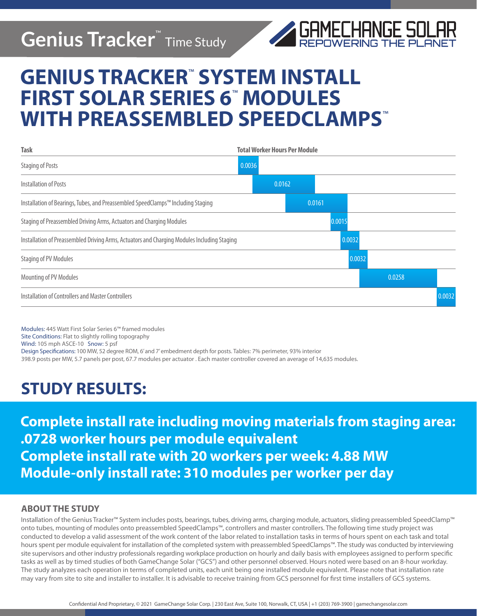## **Genius Tracker**™ Time Study



# **GENIUS TRACKER**™  **SYSTEM INSTALL FIRST SOLAR SERIES 6**™  **MODULES WITH PREASSEMBLED SPEEDCLAMPS**™

| <b>Task</b>                                                                                 | <b>Total Worker Hours Per Module</b> |        |        |        |
|---------------------------------------------------------------------------------------------|--------------------------------------|--------|--------|--------|
| <b>Staging of Posts</b>                                                                     | 0.0036                               |        |        |        |
| <b>Installation of Posts</b>                                                                | 0.0162                               |        |        |        |
| Installation of Bearings, Tubes, and Preassembled SpeedClamps™ Including Staging            |                                      | 0.0161 |        |        |
| Staging of Preassembled Driving Arms, Actuators and Charging Modules                        |                                      | 0.0015 |        |        |
| Installation of Preassembled Driving Arms, Actuators and Charging Modules Including Staging |                                      | 0.0032 |        |        |
| Staging of PV Modules                                                                       |                                      |        | 0.0032 |        |
| Mounting of PV Modules                                                                      |                                      |        | 0.0258 |        |
| Installation of Controllers and Master Controllers                                          |                                      |        |        | 0.0032 |

Modules: 445 Watt First Solar Series 6™ framed modules Site Conditions: Flat to slightly rolling topography Wind: 105 mph ASCE-10 Snow: 5 psf Design Specifications: 100 MW, 52 degree ROM, 6' and 7' embedment depth for posts. Tables: 7% perimeter, 93% interior 398.9 posts per MW, 5.7 panels per post, 67.7 modules per actuator . Each master controller covered an average of 14,635 modules.

### **STUDY RESULTS:**

**Complete install rate including moving materials from staging area: .0728 worker hours per module equivalent Complete install rate with 20 workers per week: 4.88 MW Module-only install rate: 310 modules per worker per day** 

### **ABOUT THE STUDY**

Installation of the Genius Tracker™ System includes posts, bearings, tubes, driving arms, charging module, actuators, sliding preassembled SpeedClamp™ onto tubes, mounting of modules onto preassembled SpeedClamps™, controllers and master controllers. The following time study project was conducted to develop a valid assessment of the work content of the labor related to installation tasks in terms of hours spent on each task and total hours spent per module equivalent for installation of the completed system with preassembled SpeedClamps™. The study was conducted by interviewing site supervisors and other industry professionals regarding workplace production on hourly and daily basis with employees assigned to perform specific tasks as well as by timed studies of both GameChange Solar ("GCS") and other personnel observed. Hours noted were based on an 8-hour workday. The study analyzes each operation in terms of completed units, each unit being one installed module equivalent. Please note that installation rate may vary from site to site and installer to installer. It is advisable to receive training from GCS personnel for first time installers of GCS systems.